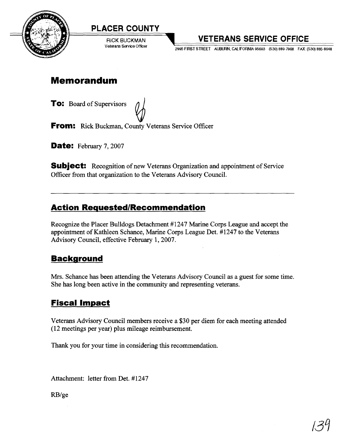



**RICK BUCKMAN** Veterans Service Officer

# **VETERANS SERVICE OFFICE**

**2995 FIRST STREET AUBURN, CALIFORNIA 95603 (530) 889-7968 FAX: (530) 885-8648** 

## **Memorandum**

**TO:** Board of Supervisors  $\bigtriangledown$ **From:** Rick Buckman, County Veterans Service Officer

**Date:** February 7, 2007

**Subject:** Recognition of new Veterans Organization and appointment of Service Oficer fiom that organization to the Veterans Advisory Council.

### **Action Requested/Recommendation**

Recognize the Placer Bulldogs Detachment #I247 Marine Corps League and accept the appointment of Kathleen Schance, Marine Corps League Det. #I247 to the Veterans Advisory Council, effective February 1,2007.

## **Backqround**

Mrs. Schance has been attending the Veterans Advisory Council as a guest for some time. She has long been active in the community and representing veterans.

## **Fiscal Impact**

Veterans Advisory Council members receive a \$30 per diem for each meeting attended (12 meetings per year) plus mileage reimbursement.

Thank you for your time in considering this recommendation.

Attachment: letter from Det. #1247

RBIge